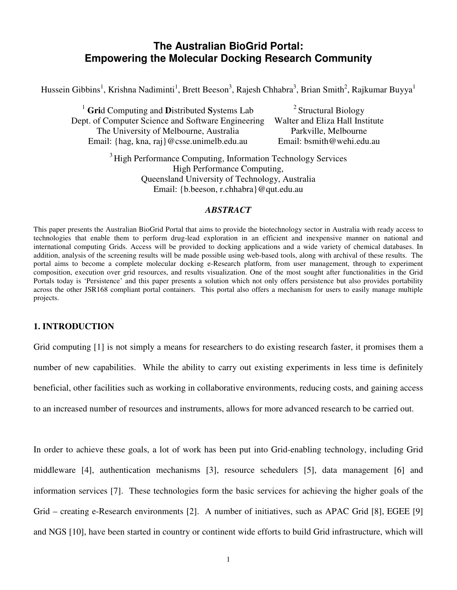# The Australian BioGrid Portal: Empowering the Molecular Docking Research Community

Hussein Gibbins<sup>1</sup>, Krishna Nadiminti<sup>1</sup>, Brett Beeson<sup>3</sup>, Rajesh Chhabra<sup>3</sup>, Brian Smith<sup>2</sup>, Rajkumar Buyya<sup>1</sup>

<sup>1</sup> Grid Computing and Distributed Systems Lab Dept. of Computer Science and Software Engineering The University of Melbourne, Australia Email: {hag, kna, raj}@csse.unimelb.edu.au

<sup>2</sup> Structural Biology Walter and Eliza Hall Institute Parkville, Melbourne Email: bsmith@wehi.edu.au

<sup>3</sup> High Performance Computing, Information Technology Services High Performance Computing, Queensland University of Technology, Australia Email: {b.beeson, r.chhabra}@qut.edu.au

#### ABSTRACT

This paper presents the Australian BioGrid Portal that aims to provide the biotechnology sector in Australia with ready access to technologies that enable them to perform drug-lead exploration in an efficient and inexpensive manner on national and international computing Grids. Access will be provided to docking applications and a wide variety of chemical databases. In addition, analysis of the screening results will be made possible using web-based tools, along with archival of these results. The portal aims to become a complete molecular docking e-Research platform, from user management, through to experiment composition, execution over grid resources, and results visualization. One of the most sought after functionalities in the Grid Portals today is 'Persistence' and this paper presents a solution which not only offers persistence but also provides portability across the other JSR168 compliant portal containers. This portal also offers a mechanism for users to easily manage multiple projects.

### 1. INTRODUCTION

Grid computing [1] is not simply a means for researchers to do existing research faster, it promises them a number of new capabilities. While the ability to carry out existing experiments in less time is definitely beneficial, other facilities such as working in collaborative environments, reducing costs, and gaining access to an increased number of resources and instruments, allows for more advanced research to be carried out.

In order to achieve these goals, a lot of work has been put into Grid-enabling technology, including Grid middleware [4], authentication mechanisms [3], resource schedulers [5], data management [6] and information services [7]. These technologies form the basic services for achieving the higher goals of the Grid – creating e-Research environments [2]. A number of initiatives, such as APAC Grid [8], EGEE [9] and NGS [10], have been started in country or continent wide efforts to build Grid infrastructure, which will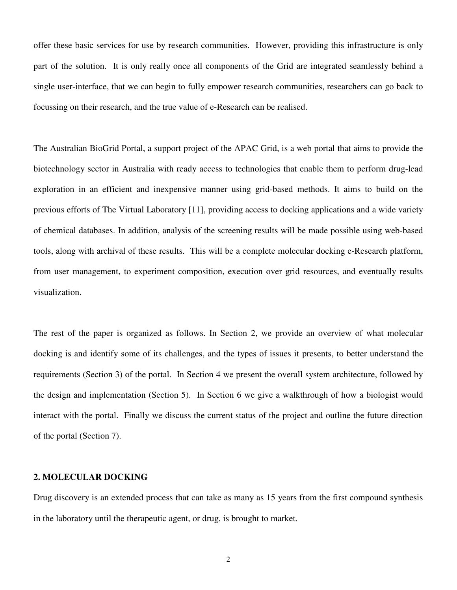offer these basic services for use by research communities. However, providing this infrastructure is only part of the solution. It is only really once all components of the Grid are integrated seamlessly behind a single user-interface, that we can begin to fully empower research communities, researchers can go back to focussing on their research, and the true value of e-Research can be realised.

The Australian BioGrid Portal, a support project of the APAC Grid, is a web portal that aims to provide the biotechnology sector in Australia with ready access to technologies that enable them to perform drug-lead exploration in an efficient and inexpensive manner using grid-based methods. It aims to build on the previous efforts of The Virtual Laboratory [11], providing access to docking applications and a wide variety of chemical databases. In addition, analysis of the screening results will be made possible using web-based tools, along with archival of these results. This will be a complete molecular docking e-Research platform, from user management, to experiment composition, execution over grid resources, and eventually results visualization.

The rest of the paper is organized as follows. In Section 2, we provide an overview of what molecular docking is and identify some of its challenges, and the types of issues it presents, to better understand the requirements (Section 3) of the portal. In Section 4 we present the overall system architecture, followed by the design and implementation (Section 5). In Section 6 we give a walkthrough of how a biologist would interact with the portal. Finally we discuss the current status of the project and outline the future direction of the portal (Section 7).

### 2. MOLECULAR DOCKING

Drug discovery is an extended process that can take as many as 15 years from the first compound synthesis in the laboratory until the therapeutic agent, or drug, is brought to market.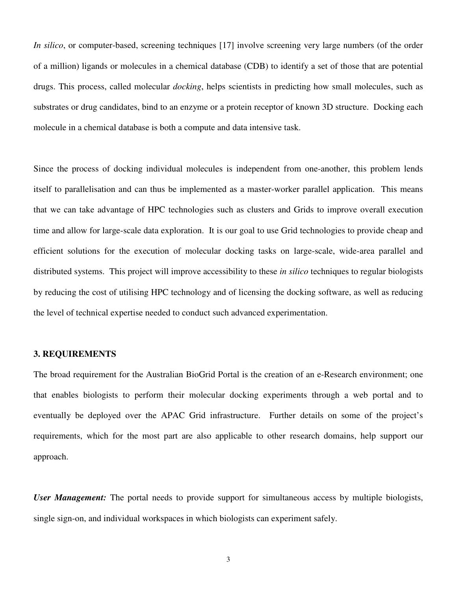In silico, or computer-based, screening techniques [17] involve screening very large numbers (of the order of a million) ligands or molecules in a chemical database (CDB) to identify a set of those that are potential drugs. This process, called molecular *docking*, helps scientists in predicting how small molecules, such as substrates or drug candidates, bind to an enzyme or a protein receptor of known 3D structure. Docking each molecule in a chemical database is both a compute and data intensive task.

Since the process of docking individual molecules is independent from one-another, this problem lends itself to parallelisation and can thus be implemented as a master-worker parallel application. This means that we can take advantage of HPC technologies such as clusters and Grids to improve overall execution time and allow for large-scale data exploration. It is our goal to use Grid technologies to provide cheap and efficient solutions for the execution of molecular docking tasks on large-scale, wide-area parallel and distributed systems. This project will improve accessibility to these in silico techniques to regular biologists by reducing the cost of utilising HPC technology and of licensing the docking software, as well as reducing the level of technical expertise needed to conduct such advanced experimentation.

### 3. REQUIREMENTS

The broad requirement for the Australian BioGrid Portal is the creation of an e-Research environment; one that enables biologists to perform their molecular docking experiments through a web portal and to eventually be deployed over the APAC Grid infrastructure. Further details on some of the project's requirements, which for the most part are also applicable to other research domains, help support our approach.

User Management: The portal needs to provide support for simultaneous access by multiple biologists, single sign-on, and individual workspaces in which biologists can experiment safely.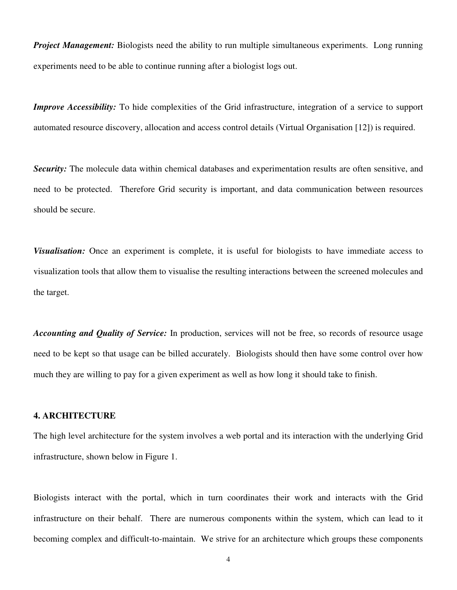**Project Management:** Biologists need the ability to run multiple simultaneous experiments. Long running experiments need to be able to continue running after a biologist logs out.

Improve Accessibility: To hide complexities of the Grid infrastructure, integration of a service to support automated resource discovery, allocation and access control details (Virtual Organisation [12]) is required.

Security: The molecule data within chemical databases and experimentation results are often sensitive, and need to be protected. Therefore Grid security is important, and data communication between resources should be secure.

**Visualisation:** Once an experiment is complete, it is useful for biologists to have immediate access to visualization tools that allow them to visualise the resulting interactions between the screened molecules and the target.

Accounting and Quality of Service: In production, services will not be free, so records of resource usage need to be kept so that usage can be billed accurately. Biologists should then have some control over how much they are willing to pay for a given experiment as well as how long it should take to finish.

### 4. ARCHITECTURE

The high level architecture for the system involves a web portal and its interaction with the underlying Grid infrastructure, shown below in Figure 1.

Biologists interact with the portal, which in turn coordinates their work and interacts with the Grid infrastructure on their behalf. There are numerous components within the system, which can lead to it becoming complex and difficult-to-maintain. We strive for an architecture which groups these components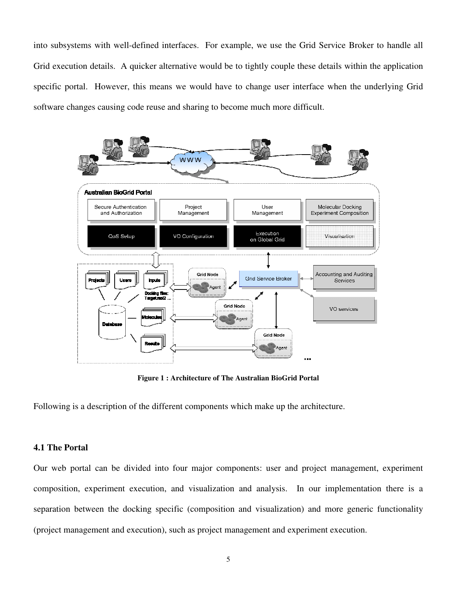into subsystems with well-defined interfaces. For example, we use the Grid Service Broker to handle all Grid execution details. A quicker alternative would be to tightly couple these details within the application specific portal. However, this means we would have to change user interface when the underlying Grid software changes causing code reuse and sharing to become much more difficult.



Figure 1 : Architecture of The Australian BioGrid Portal

Following is a description of the different components which make up the architecture.

### 4.1 The Portal

Our web portal can be divided into four major components: user and project management, experiment composition, experiment execution, and visualization and analysis. In our implementation there is a separation between the docking specific (composition and visualization) and more generic functionality (project management and execution), such as project management and experiment execution.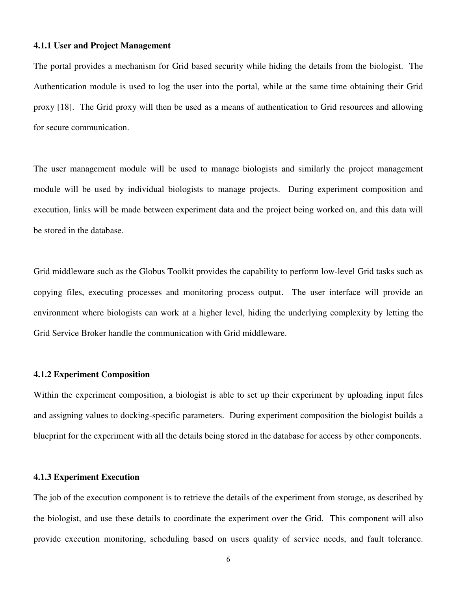#### 4.1.1 User and Project Management

The portal provides a mechanism for Grid based security while hiding the details from the biologist. The Authentication module is used to log the user into the portal, while at the same time obtaining their Grid proxy [18]. The Grid proxy will then be used as a means of authentication to Grid resources and allowing for secure communication.

The user management module will be used to manage biologists and similarly the project management module will be used by individual biologists to manage projects. During experiment composition and execution, links will be made between experiment data and the project being worked on, and this data will be stored in the database.

Grid middleware such as the Globus Toolkit provides the capability to perform low-level Grid tasks such as copying files, executing processes and monitoring process output. The user interface will provide an environment where biologists can work at a higher level, hiding the underlying complexity by letting the Grid Service Broker handle the communication with Grid middleware.

#### 4.1.2 Experiment Composition

Within the experiment composition, a biologist is able to set up their experiment by uploading input files and assigning values to docking-specific parameters. During experiment composition the biologist builds a blueprint for the experiment with all the details being stored in the database for access by other components.

#### 4.1.3 Experiment Execution

The job of the execution component is to retrieve the details of the experiment from storage, as described by the biologist, and use these details to coordinate the experiment over the Grid. This component will also provide execution monitoring, scheduling based on users quality of service needs, and fault tolerance.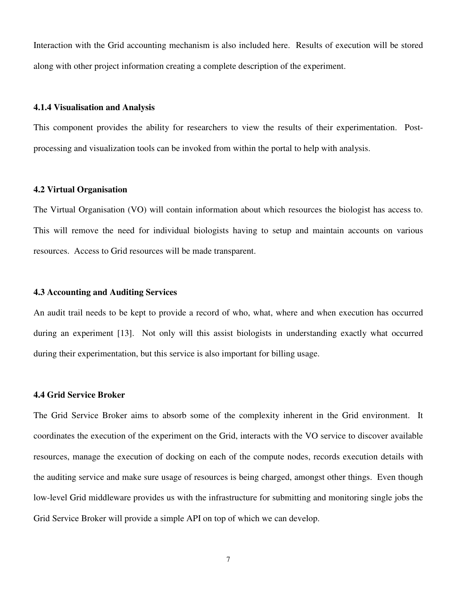Interaction with the Grid accounting mechanism is also included here. Results of execution will be stored along with other project information creating a complete description of the experiment.

#### 4.1.4 Visualisation and Analysis

This component provides the ability for researchers to view the results of their experimentation. Postprocessing and visualization tools can be invoked from within the portal to help with analysis.

#### 4.2 Virtual Organisation

The Virtual Organisation (VO) will contain information about which resources the biologist has access to. This will remove the need for individual biologists having to setup and maintain accounts on various resources. Access to Grid resources will be made transparent.

#### 4.3 Accounting and Auditing Services

An audit trail needs to be kept to provide a record of who, what, where and when execution has occurred during an experiment [13]. Not only will this assist biologists in understanding exactly what occurred during their experimentation, but this service is also important for billing usage.

#### 4.4 Grid Service Broker

The Grid Service Broker aims to absorb some of the complexity inherent in the Grid environment. It coordinates the execution of the experiment on the Grid, interacts with the VO service to discover available resources, manage the execution of docking on each of the compute nodes, records execution details with the auditing service and make sure usage of resources is being charged, amongst other things. Even though low-level Grid middleware provides us with the infrastructure for submitting and monitoring single jobs the Grid Service Broker will provide a simple API on top of which we can develop.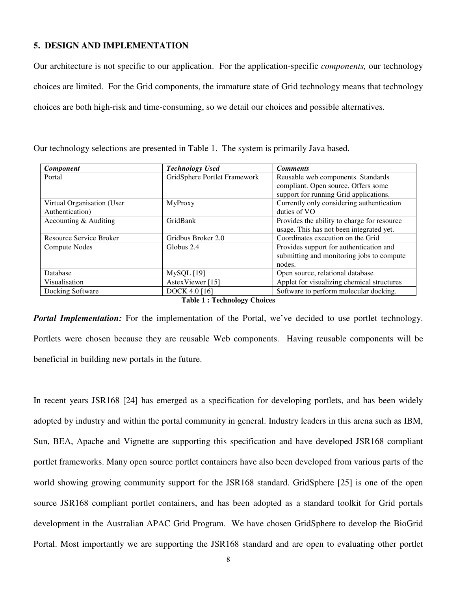#### 5. DESIGN AND IMPLEMENTATION

Our architecture is not specific to our application. For the application-specific components, our technology choices are limited. For the Grid components, the immature state of Grid technology means that technology choices are both high-risk and time-consuming, so we detail our choices and possible alternatives.

| <b>Component</b>           | <b>Technology Used</b>       | <b>Comments</b>                             |
|----------------------------|------------------------------|---------------------------------------------|
| Portal                     | GridSphere Portlet Framework | Reusable web components. Standards          |
|                            |                              | compliant. Open source. Offers some         |
|                            |                              | support for running Grid applications.      |
| Virtual Organisation (User | MyProxy                      | Currently only considering authentication   |
| Authentication)            |                              | duties of VO                                |
| Accounting & Auditing      | GridBank                     | Provides the ability to charge for resource |
|                            |                              | usage. This has not been integrated yet.    |
| Resource Service Broker    | Gridbus Broker 2.0           | Coordinates execution on the Grid           |
| <b>Compute Nodes</b>       | Globus 2.4                   | Provides support for authentication and     |
|                            |                              | submitting and monitoring jobs to compute   |
|                            |                              | nodes.                                      |
| Database                   | $MySQL$ [19]                 | Open source, relational database            |
| Visualisation              | AstexViewer [15]             | Applet for visualizing chemical structures  |
| Docking Software           | <b>DOCK 4.0 [16]</b>         | Software to perform molecular docking.      |

Our technology selections are presented in Table 1. The system is primarily Java based.

#### Table 1 : Technology Choices

**Portal Implementation:** For the implementation of the Portal, we've decided to use portlet technology. Portlets were chosen because they are reusable Web components. Having reusable components will be beneficial in building new portals in the future.

In recent years JSR168 [24] has emerged as a specification for developing portlets, and has been widely adopted by industry and within the portal community in general. Industry leaders in this arena such as IBM, Sun, BEA, Apache and Vignette are supporting this specification and have developed JSR168 compliant portlet frameworks. Many open source portlet containers have also been developed from various parts of the world showing growing community support for the JSR168 standard. GridSphere [25] is one of the open source JSR168 compliant portlet containers, and has been adopted as a standard toolkit for Grid portals development in the Australian APAC Grid Program. We have chosen GridSphere to develop the BioGrid Portal. Most importantly we are supporting the JSR168 standard and are open to evaluating other portlet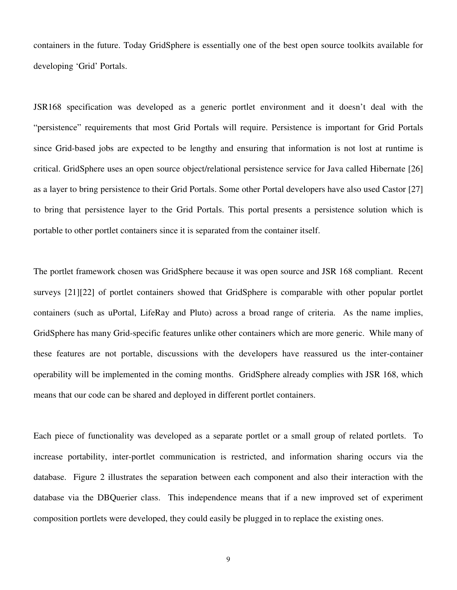containers in the future. Today GridSphere is essentially one of the best open source toolkits available for developing 'Grid' Portals.

JSR168 specification was developed as a generic portlet environment and it doesn't deal with the "persistence" requirements that most Grid Portals will require. Persistence is important for Grid Portals since Grid-based jobs are expected to be lengthy and ensuring that information is not lost at runtime is critical. GridSphere uses an open source object/relational persistence service for Java called Hibernate [26] as a layer to bring persistence to their Grid Portals. Some other Portal developers have also used Castor [27] to bring that persistence layer to the Grid Portals. This portal presents a persistence solution which is portable to other portlet containers since it is separated from the container itself.

The portlet framework chosen was GridSphere because it was open source and JSR 168 compliant. Recent surveys [21][22] of portlet containers showed that GridSphere is comparable with other popular portlet containers (such as uPortal, LifeRay and Pluto) across a broad range of criteria. As the name implies, GridSphere has many Grid-specific features unlike other containers which are more generic. While many of these features are not portable, discussions with the developers have reassured us the inter-container operability will be implemented in the coming months. GridSphere already complies with JSR 168, which means that our code can be shared and deployed in different portlet containers.

Each piece of functionality was developed as a separate portlet or a small group of related portlets. To increase portability, inter-portlet communication is restricted, and information sharing occurs via the database. Figure 2 illustrates the separation between each component and also their interaction with the database via the DBQuerier class. This independence means that if a new improved set of experiment composition portlets were developed, they could easily be plugged in to replace the existing ones.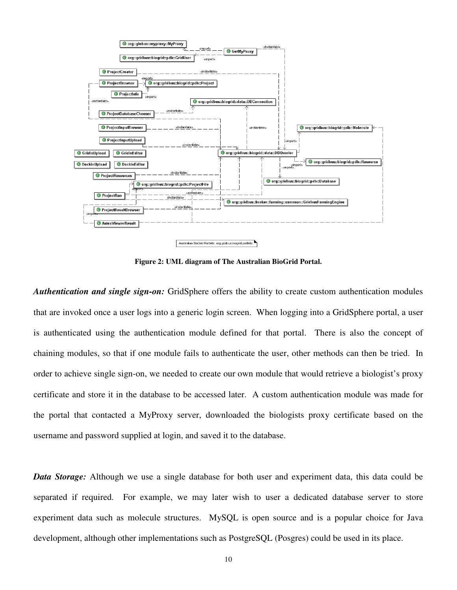

Figure 2: UML diagram of The Australian BioGrid Portal.

Authentication and single sign-on: GridSphere offers the ability to create custom authentication modules that are invoked once a user logs into a generic login screen. When logging into a GridSphere portal, a user is authenticated using the authentication module defined for that portal. There is also the concept of chaining modules, so that if one module fails to authenticate the user, other methods can then be tried. In order to achieve single sign-on, we needed to create our own module that would retrieve a biologist's proxy certificate and store it in the database to be accessed later. A custom authentication module was made for the portal that contacted a MyProxy server, downloaded the biologists proxy certificate based on the username and password supplied at login, and saved it to the database.

**Data Storage:** Although we use a single database for both user and experiment data, this data could be separated if required. For example, we may later wish to user a dedicated database server to store experiment data such as molecule structures. MySQL is open source and is a popular choice for Java development, although other implementations such as PostgreSQL (Posgres) could be used in its place.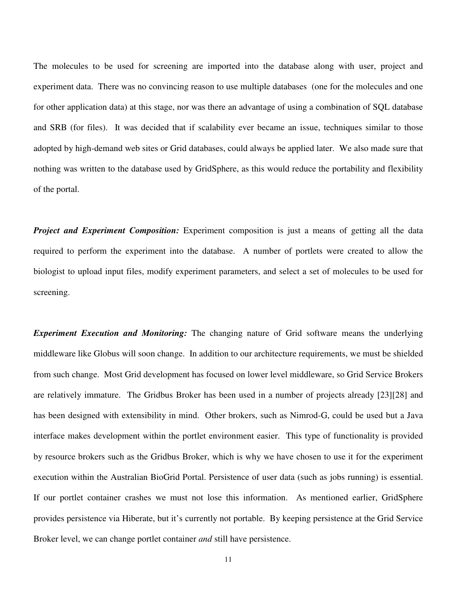The molecules to be used for screening are imported into the database along with user, project and experiment data. There was no convincing reason to use multiple databases (one for the molecules and one for other application data) at this stage, nor was there an advantage of using a combination of SQL database and SRB (for files). It was decided that if scalability ever became an issue, techniques similar to those adopted by high-demand web sites or Grid databases, could always be applied later. We also made sure that nothing was written to the database used by GridSphere, as this would reduce the portability and flexibility of the portal.

**Project and Experiment Composition:** Experiment composition is just a means of getting all the data required to perform the experiment into the database. A number of portlets were created to allow the biologist to upload input files, modify experiment parameters, and select a set of molecules to be used for screening.

**Experiment Execution and Monitoring:** The changing nature of Grid software means the underlying middleware like Globus will soon change. In addition to our architecture requirements, we must be shielded from such change. Most Grid development has focused on lower level middleware, so Grid Service Brokers are relatively immature. The Gridbus Broker has been used in a number of projects already [23][28] and has been designed with extensibility in mind. Other brokers, such as Nimrod-G, could be used but a Java interface makes development within the portlet environment easier. This type of functionality is provided by resource brokers such as the Gridbus Broker, which is why we have chosen to use it for the experiment execution within the Australian BioGrid Portal. Persistence of user data (such as jobs running) is essential. If our portlet container crashes we must not lose this information. As mentioned earlier, GridSphere provides persistence via Hiberate, but it's currently not portable. By keeping persistence at the Grid Service Broker level, we can change portlet container *and* still have persistence.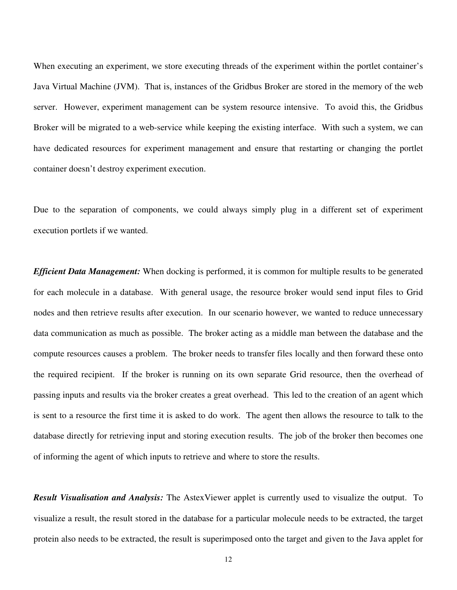When executing an experiment, we store executing threads of the experiment within the portlet container's Java Virtual Machine (JVM). That is, instances of the Gridbus Broker are stored in the memory of the web server. However, experiment management can be system resource intensive. To avoid this, the Gridbus Broker will be migrated to a web-service while keeping the existing interface. With such a system, we can have dedicated resources for experiment management and ensure that restarting or changing the portlet container doesn't destroy experiment execution.

Due to the separation of components, we could always simply plug in a different set of experiment execution portlets if we wanted.

**Efficient Data Management:** When docking is performed, it is common for multiple results to be generated for each molecule in a database. With general usage, the resource broker would send input files to Grid nodes and then retrieve results after execution. In our scenario however, we wanted to reduce unnecessary data communication as much as possible. The broker acting as a middle man between the database and the compute resources causes a problem. The broker needs to transfer files locally and then forward these onto the required recipient. If the broker is running on its own separate Grid resource, then the overhead of passing inputs and results via the broker creates a great overhead. This led to the creation of an agent which is sent to a resource the first time it is asked to do work. The agent then allows the resource to talk to the database directly for retrieving input and storing execution results. The job of the broker then becomes one of informing the agent of which inputs to retrieve and where to store the results.

**Result Visualisation and Analysis:** The AstexViewer applet is currently used to visualize the output. To visualize a result, the result stored in the database for a particular molecule needs to be extracted, the target protein also needs to be extracted, the result is superimposed onto the target and given to the Java applet for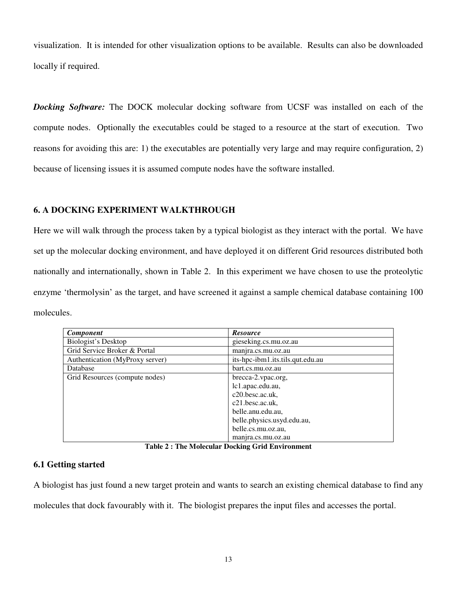visualization. It is intended for other visualization options to be available. Results can also be downloaded locally if required.

**Docking Software:** The DOCK molecular docking software from UCSF was installed on each of the compute nodes. Optionally the executables could be staged to a resource at the start of execution. Two reasons for avoiding this are: 1) the executables are potentially very large and may require configuration, 2) because of licensing issues it is assumed compute nodes have the software installed.

### 6. A DOCKING EXPERIMENT WALKTHROUGH

Here we will walk through the process taken by a typical biologist as they interact with the portal. We have set up the molecular docking environment, and have deployed it on different Grid resources distributed both nationally and internationally, shown in Table 2. In this experiment we have chosen to use the proteolytic enzyme 'thermolysin' as the target, and have screened it against a sample chemical database containing 100 molecules.

| <b>Component</b>                | <b>Resource</b>                  |
|---------------------------------|----------------------------------|
| Biologist's Desktop             | gieseking.cs.mu.oz.au            |
| Grid Service Broker & Portal    | manjra.cs.mu.oz.au               |
| Authentication (MyProxy server) | its-hpc-ibm1.its.tils.qut.edu.au |
| Database                        | bart.cs.mu.oz.au                 |
| Grid Resources (compute nodes)  | brecca-2.vpac.org,               |
|                                 | lc1.apac.edu.au,                 |
|                                 | c20.besc.ac.uk,                  |
|                                 | c21.besc.ac.uk,                  |
|                                 | belle.anu.edu.au,                |
|                                 | belle.physics.usyd.edu.au,       |
|                                 | belle.cs.mu.oz.au,               |
|                                 | manjra.cs.mu.oz.au               |

Table 2 : The Molecular Docking Grid Environment

### 6.1 Getting started

A biologist has just found a new target protein and wants to search an existing chemical database to find any

molecules that dock favourably with it. The biologist prepares the input files and accesses the portal.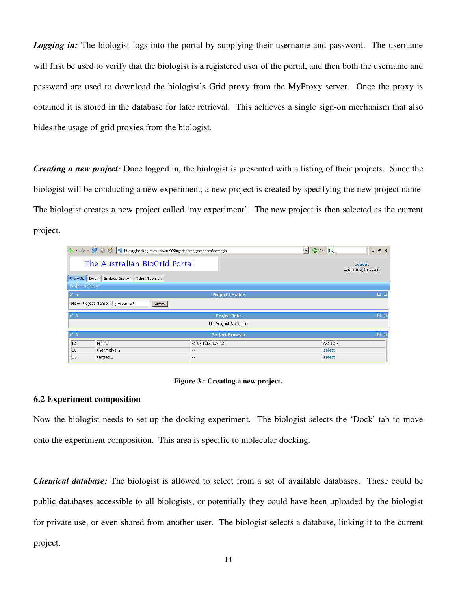**Logging in:** The biologist logs into the portal by supplying their username and password. The username will first be used to verify that the biologist is a registered user of the portal, and then both the username and password are used to download the biologist's Grid proxy from the MyProxy server. Once the proxy is obtained it is stored in the database for later retrieval. This achieves a single sign-on mechanism that also hides the usage of grid proxies from the biologist.

Creating a new project: Once logged in, the biologist is presented with a listing of their projects. Since the biologist will be conducting a new experiment, a new project is created by specifying the new project name. The biologist creates a new project called 'my experiment'. The new project is then selected as the current project.

|                          | → → → 3 3 4 http://gieseking.cs.mu.oz.au:9090/gridsphere/gridsphere?cid=login |                        | $\odot$ Go $\Box$<br>$\vert \cdot \vert$ | $   \times$                |  |  |  |  |
|--------------------------|-------------------------------------------------------------------------------|------------------------|------------------------------------------|----------------------------|--|--|--|--|
|                          | The Australian BioGrid Portal                                                 |                        |                                          | Logout<br>Welcome, hussein |  |  |  |  |
| <b>Projects</b>          | Gridbus Broker<br>Other Tools<br>Dock                                         |                        |                                          |                            |  |  |  |  |
| <b>Project Selection</b> |                                                                               |                        |                                          |                            |  |  |  |  |
| $\sqrt{2}$               | $\Box$<br><b>Project Creator</b>                                              |                        |                                          |                            |  |  |  |  |
|                          | New Project Name : my experiment<br>create                                    |                        |                                          |                            |  |  |  |  |
| $\sqrt{2}$               |                                                                               | <b>Project Info</b>    |                                          | $\Box$                     |  |  |  |  |
|                          |                                                                               | No Project Selected    |                                          |                            |  |  |  |  |
| $\sqrt{2}$               |                                                                               | <b>Project Browser</b> |                                          | $\Box$ $\Box$              |  |  |  |  |
| ID                       | NAME                                                                          | CREATED (DATE)         | ACTION                                   |                            |  |  |  |  |
| l30                      | thermolysin                                                                   | $\qquad \qquad -$      | select                                   |                            |  |  |  |  |
| 21                       | target 1                                                                      | $\qquad \qquad -$      | select                                   |                            |  |  |  |  |

#### Figure 3 : Creating a new project.

### 6.2 Experiment composition

Now the biologist needs to set up the docking experiment. The biologist selects the 'Dock' tab to move onto the experiment composition. This area is specific to molecular docking.

**Chemical database:** The biologist is allowed to select from a set of available databases. These could be public databases accessible to all biologists, or potentially they could have been uploaded by the biologist for private use, or even shared from another user. The biologist selects a database, linking it to the current project.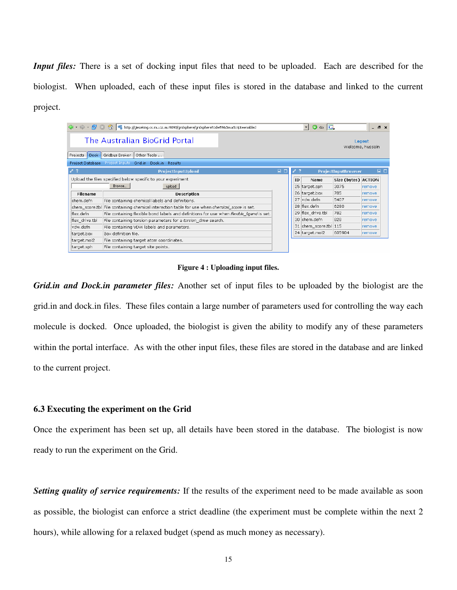Input files: There is a set of docking input files that need to be uploaded. Each are described for the biologist. When uploaded, each of these input files is stored in the database and linked to the current project.

|                                                             | 4 + $\leftrightarrow$ + 8 8 1 ttp://gieseking.cs.mu.oz.au:9090/gridsphere/gridsphere?cid=598JavaScript=enabled |             |    | $G_0$ $G$<br>$\circ$<br>$\vert \cdot \vert$ |                     | - 8 x  |               |
|-------------------------------------------------------------|----------------------------------------------------------------------------------------------------------------|-------------|----|---------------------------------------------|---------------------|--------|---------------|
| The Australian BioGrid Portal<br>Logout<br>Welcome, hussein |                                                                                                                |             |    |                                             |                     |        |               |
| <b>Dock</b><br>Projects                                     | Gridbus Broker<br>Other Tools                                                                                  |             |    |                                             |                     |        |               |
|                                                             | Project Database Project Inputs Grid.in Dock.in Results                                                        |             |    |                                             |                     |        |               |
| $\sqrt{2}$                                                  | ProjectInputUpload                                                                                             | $\Box$<br>п |    |                                             | ProjectInputBrowser |        | $\Box$ $\Box$ |
|                                                             | Upload the files specified below specific to your experiment                                                   |             | ID | Name                                        | Size (bytes) ACTION |        |               |
|                                                             | Browse<br>upload                                                                                               |             |    | 25 target.sph                               | 3075                | remove |               |
| <b>Filename</b>                                             | <b>Description</b>                                                                                             |             |    | 26 target.box                               | 785                 | remove |               |
| chem.defn                                                   | File containing chemical labels and definitions.                                                               |             |    | 27 vdw.defn                                 | 5407                | remove |               |
| chem score.tbl                                              | File containing chemical interaction table for use when chemical score is set.                                 |             |    | 28 flex.defn                                | 6280                | remove |               |
| flex.defn                                                   | File containing flexible bond labels and definitions for use when flexible_ligand is set.                      |             |    | 29 flex drive.tbl                           | 782                 | remove |               |
| flex drive.tbl                                              | File containing torsion parameters for a torsion drive search.                                                 |             |    | 30 chem.defn                                | 828                 | remove |               |
| vdw.defn                                                    | File containing VDW labels and parameters.                                                                     |             |    | 31 chem_score.tbl 115                       |                     | remove |               |
| target.box                                                  | Box definition file.                                                                                           |             |    | 24 target.mol2                              | 605904              | remove |               |
| target.mol2                                                 | File containing target atom coordinates.                                                                       |             |    |                                             |                     |        |               |
| target.sph                                                  | File containing target site points.                                                                            |             |    |                                             |                     |        |               |

Figure 4 : Uploading input files.

Grid.in and Dock.in parameter files: Another set of input files to be uploaded by the biologist are the grid.in and dock.in files. These files contain a large number of parameters used for controlling the way each molecule is docked. Once uploaded, the biologist is given the ability to modify any of these parameters within the portal interface. As with the other input files, these files are stored in the database and are linked to the current project.

#### 6.3 Executing the experiment on the Grid

Once the experiment has been set up, all details have been stored in the database. The biologist is now ready to run the experiment on the Grid.

Setting quality of service requirements: If the results of the experiment need to be made available as soon as possible, the biologist can enforce a strict deadline (the experiment must be complete within the next 2 hours), while allowing for a relaxed budget (spend as much money as necessary).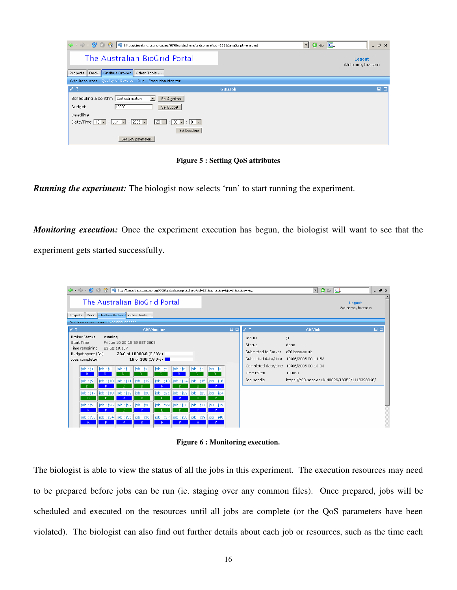|                                                                                          |               | $\circ$ Go $\Box$<br>▼ | $ B$ $\times$              |
|------------------------------------------------------------------------------------------|---------------|------------------------|----------------------------|
| The Australian BioGrid Portal                                                            |               |                        | Logout<br>Welcome, hussein |
| Gridbus Broker<br>Projects<br>Other Tools<br>Dock                                        |               |                        |                            |
| Grid Resources Quality of Service Run Execution Monitor                                  |               |                        |                            |
| $\sqrt{2}$                                                                               | <b>GBBJob</b> |                        | $\Box$ $\Box$              |
| Scheduling algorithm   Cost optimization<br>$\overline{ }$<br>Set Algorithm              |               |                        |                            |
| 10000<br><b>Budget</b><br>Set Budget                                                     |               |                        |                            |
| Deadline                                                                                 |               |                        |                            |
| Date/Time   10   -   Jun   -   2005   -  <br>$20 \text{ J} : 30 \text{ J} : 0 \text{ J}$ |               |                        |                            |
| Set Deadline                                                                             |               |                        |                            |
| Set QoS parameters                                                                       |               |                        |                            |

Figure 5 : Setting QoS attributes

Running the experiment: The biologist now selects 'run' to start running the experiment.

Monitoring execution: Once the experiment execution has begun, the biologist will want to see that the experiment gets started successfully.

| $\langle \mathbf{a} \cdot \mathbf{c} \rangle \cdot \mathbf{B} \quad \text{(3)}$                     |                                      |                                                |                                                         |                                      |                            |                               | http://gieseking.cs.mu.oz.au:9090/gridsphere/gridsphere?cid=121&gs_action=&jid=j1&action=view |        |                                                                | $\blacktriangledown$ $\odot$ $\odot$ $\Box$                                     |                            | $   \times$ |
|-----------------------------------------------------------------------------------------------------|--------------------------------------|------------------------------------------------|---------------------------------------------------------|--------------------------------------|----------------------------|-------------------------------|-----------------------------------------------------------------------------------------------|--------|----------------------------------------------------------------|---------------------------------------------------------------------------------|----------------------------|-------------|
|                                                                                                     |                                      |                                                |                                                         | The Australian BioGrid Portal        |                            |                               |                                                                                               |        |                                                                |                                                                                 | Logout<br>Welcome, hussein |             |
| Gridbus Broker   Other Tools<br>Projects<br>Dock                                                    |                                      |                                                |                                                         |                                      |                            |                               |                                                                                               |        |                                                                |                                                                                 |                            |             |
|                                                                                                     | Grid Resources Run Execution Monitor |                                                |                                                         |                                      |                            |                               |                                                                                               |        |                                                                |                                                                                 |                            |             |
| $\sqrt{2}$                                                                                          |                                      |                                                |                                                         | <b>GBBMonitor</b>                    |                            |                               |                                                                                               | $\Box$ | $\mathcal{L}$ ?                                                | <b>GBBJob</b>                                                                   |                            | $\Box$      |
| <b>Broker Status</b><br><b>Start Time</b><br>Time remaining<br>Budget spent (G\$)<br>Jobs completed | running                              | 23:52:18.157                                   | Fri Jun 10 20:15:39 EST 2005<br>33.0 of 10000.0 (0.33%) | 19 of 100 $(19.0\%)$                 |                            |                               |                                                                                               |        | Job ID<br>Status<br>Submitted to Server<br>Submitted date/time | 11<br>done<br>c20.besc.ac.uk<br>10/06/2005 08:11:52                             |                            |             |
| job : j1<br>R<br>job : j9<br>D.                                                                     | job : j2<br>R.                       | job: j3<br>$\mathbf{D}$<br>job: j10   job: j11 | job : j4<br>$\mathsf{D}$<br>$\vert$ job: j12            | job: j5<br>$\mathsf{D}$<br>job : j13 | job : j6<br>R<br>job : j14 | job : j7<br>$\mathbf{D}$<br>D | job: j8<br>$\mathsf{D}$<br>job : j15   job : j16                                              |        | Completed date/time<br>Time taken<br>Job handle                | 10/06/2005 08:13:33<br>100891<br>https://c20.besc.ac.uk:40026/18959/1118398066/ |                            |             |
| job : j17<br>D.<br>job : j25                                                                        | D                                    | job : j18   job : j19<br>job : j26   job : j27 | $\vert$ job: j20<br>D.<br>$\vert$ job: j28              | job: j21<br>D<br>job: j29            | job : j22<br>job: j30      | D                             | job: j23   job: j24<br>Ð<br>job: j31   job: j32                                               |        |                                                                |                                                                                 |                            |             |
| R<br>job : j33<br>R                                                                                 | R                                    | $\mathbb{D}$<br>R                              | R.<br>job: j34   job: j35   job: j36<br>R.              | D<br>R.                              | D<br>R.                    | R<br>R                        | R<br>  job : j37   job : j38   job : j39   job : j40<br>R                                     |        |                                                                |                                                                                 |                            |             |

Figure 6 : Monitoring execution.

The biologist is able to view the status of all the jobs in this experiment. The execution resources may need to be prepared before jobs can be run (ie. staging over any common files). Once prepared, jobs will be scheduled and executed on the resources until all jobs are complete (or the QoS parameters have been violated). The biologist can also find out further details about each job or resources, such as the time each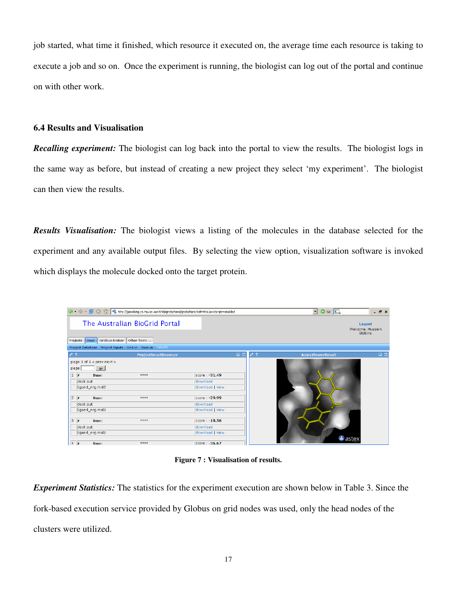job started, what time it finished, which resource it executed on, the average time each resource is taking to execute a job and so on. Once the experiment is running, the biologist can log out of the portal and continue on with other work.

### 6.4 Results and Visualisation

**Recalling experiment:** The biologist can log back into the portal to view the results. The biologist logs in the same way as before, but instead of creating a new project they select 'my experiment'. The biologist can then view the results.

Results Visualisation: The biologist views a listing of the molecules in the database selected for the experiment and any available output files. By selecting the view option, visualization software is invoked which displays the molecule docked onto the target protein.

|                                                                     |                                                         | $\langle \frac{1}{2} \cdot \cdot \cdot \rangle \cdot \bigotimes \bigcirc \bigcirc \bigcirc \bigcirc \bigcirc \bigcirc \bigcirc \mathsf{fctp} \cdot \mathsf{Itgeseking}.\mathsf{cs.mu.oz.au:9090/gridsphere/gridsphere?cid=948\text{Jav-}script=enabled$ |                      | $\vert \cdot \vert$<br>$\circ$ 60 $\boxed{\text{C}}$ | B X                                   |
|---------------------------------------------------------------------|---------------------------------------------------------|---------------------------------------------------------------------------------------------------------------------------------------------------------------------------------------------------------------------------------------------------------|----------------------|------------------------------------------------------|---------------------------------------|
|                                                                     | The Australian BioGrid Portal                           |                                                                                                                                                                                                                                                         |                      |                                                      | Logout<br>Welcome, Hussein<br>Gibbins |
| Projects Dock                                                       | Gridbus Broker<br>Other Tools                           |                                                                                                                                                                                                                                                         |                      |                                                      |                                       |
|                                                                     | Project Database Project Inputs Grid.in Dock.in Results |                                                                                                                                                                                                                                                         |                      |                                                      |                                       |
| $\sqrt{2}$                                                          | ProjectResultBrowser                                    |                                                                                                                                                                                                                                                         | $\Box$<br>$\sqrt{2}$ | <b>AstexViewerResult</b>                             | $\Box$ $\Box$                         |
| page 1 of 1 < prev next ><br>page<br>$\mathbf{1}$<br>$\overline{r}$ | 90 <sub>o</sub><br># # # #<br>Name:                     | score: -31.49                                                                                                                                                                                                                                           |                      |                                                      |                                       |
| dock.out                                                            |                                                         | download                                                                                                                                                                                                                                                |                      |                                                      |                                       |
| ligand_nrg.mol2                                                     |                                                         | download   view                                                                                                                                                                                                                                         |                      |                                                      |                                       |
|                                                                     |                                                         |                                                                                                                                                                                                                                                         |                      |                                                      |                                       |
| $2 \#$                                                              | オオオオ<br>Name:                                           | score: - 29.99                                                                                                                                                                                                                                          |                      |                                                      |                                       |
| dock.out                                                            |                                                         | download                                                                                                                                                                                                                                                |                      |                                                      |                                       |
| ligand_nrg.mol2                                                     |                                                         | download   view                                                                                                                                                                                                                                         |                      |                                                      |                                       |
|                                                                     |                                                         |                                                                                                                                                                                                                                                         |                      |                                                      |                                       |
| $3 \#$                                                              | Name:<br>まままま                                           | score: -18.56                                                                                                                                                                                                                                           |                      |                                                      |                                       |
| dock.out                                                            |                                                         | download                                                                                                                                                                                                                                                |                      |                                                      |                                       |
| ligand nrg.mol2                                                     |                                                         | download   view                                                                                                                                                                                                                                         |                      |                                                      |                                       |
|                                                                     |                                                         |                                                                                                                                                                                                                                                         |                      |                                                      | $\triangle$ astex                     |
| $\begin{vmatrix} 4 & \end{vmatrix}$                                 | まままま<br>Name:                                           | score: -36.67                                                                                                                                                                                                                                           |                      |                                                      |                                       |

Figure 7 : Visualisation of results.

Experiment Statistics: The statistics for the experiment execution are shown below in Table 3. Since the fork-based execution service provided by Globus on grid nodes was used, only the head nodes of the clusters were utilized.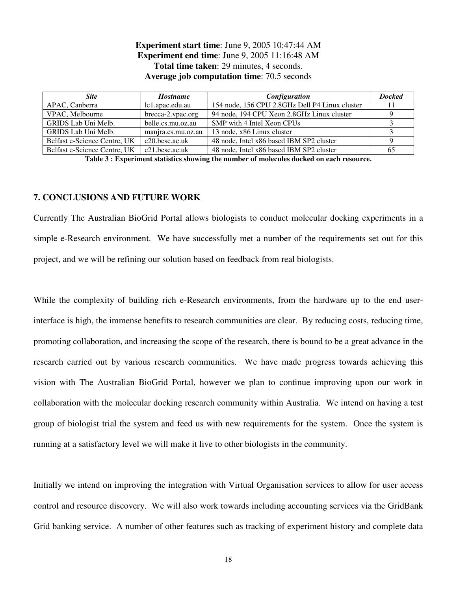## Experiment start time: June 9, 2005 10:47:44 AM Experiment end time: June 9, 2005 11:16:48 AM Total time taken: 29 minutes, 4 seconds. Average job computation time: 70.5 seconds

| <b>Site</b>                  | <b>Hostname</b>    | Configuration                                  | <b>Docked</b> |
|------------------------------|--------------------|------------------------------------------------|---------------|
| APAC, Canberra               | lc1.apac.edu.au    | 154 node, 156 CPU 2.8GHz Dell P4 Linux cluster |               |
| VPAC, Melbourne              | brecca-2.vpac.org  | 94 node, 194 CPU Xeon 2.8GHz Linux cluster     |               |
| GRIDS Lab Uni Melb.          | belle.cs.mu.oz.au  | SMP with 4 Intel Xeon CPUs                     |               |
| GRIDS Lab Uni Melb.          | manjra.cs.mu.oz.au | 13 node, x86 Linux cluster                     |               |
| Belfast e-Science Centre, UK | $c20.$ besc.ac.uk  | 48 node, Intel x86 based IBM SP2 cluster       |               |
| Belfast e-Science Centre, UK | $c21.$ besc.ac.uk  | 48 node, Intel x86 based IBM SP2 cluster       | 65            |

Table 3 : Experiment statistics showing the number of molecules docked on each resource.

### 7. CONCLUSIONS AND FUTURE WORK

Currently The Australian BioGrid Portal allows biologists to conduct molecular docking experiments in a simple e-Research environment. We have successfully met a number of the requirements set out for this project, and we will be refining our solution based on feedback from real biologists.

While the complexity of building rich e-Research environments, from the hardware up to the end userinterface is high, the immense benefits to research communities are clear. By reducing costs, reducing time, promoting collaboration, and increasing the scope of the research, there is bound to be a great advance in the research carried out by various research communities. We have made progress towards achieving this vision with The Australian BioGrid Portal, however we plan to continue improving upon our work in collaboration with the molecular docking research community within Australia. We intend on having a test group of biologist trial the system and feed us with new requirements for the system. Once the system is running at a satisfactory level we will make it live to other biologists in the community.

Initially we intend on improving the integration with Virtual Organisation services to allow for user access control and resource discovery. We will also work towards including accounting services via the GridBank Grid banking service. A number of other features such as tracking of experiment history and complete data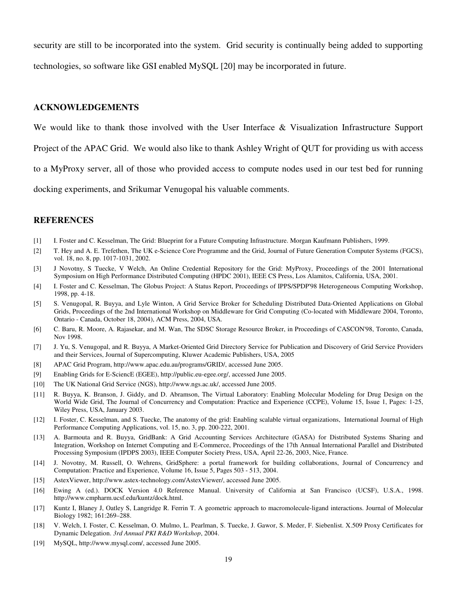security are still to be incorporated into the system. Grid security is continually being added to supporting technologies, so software like GSI enabled MySQL [20] may be incorporated in future.

#### ACKNOWLEDGEMENTS

We would like to thank those involved with the User Interface & Visualization Infrastructure Support

Project of the APAC Grid. We would also like to thank Ashley Wright of QUT for providing us with access

to a MyProxy server, all of those who provided access to compute nodes used in our test bed for running

docking experiments, and Srikumar Venugopal his valuable comments.

#### **REFERENCES**

- [1] I. Foster and C. Kesselman, The Grid: Blueprint for a Future Computing Infrastructure. Morgan Kaufmann Publishers, 1999.
- [2] T. Hey and A. E. Trefethen, The UK e-Science Core Programme and the Grid, Journal of Future Generation Computer Systems (FGCS), vol. 18, no. 8, pp. 1017-1031, 2002.
- [3] J Novotny, S Tuecke, V Welch, An Online Credential Repository for the Grid: MyProxy, Proceedings of the 2001 International Symposium on High Performance Distributed Computing (HPDC 2001), IEEE CS Press, Los Alamitos, California, USA, 2001.
- [4] I. Foster and C. Kesselman, The Globus Project: A Status Report, Proceedings of IPPS/SPDP'98 Heterogeneous Computing Workshop, 1998, pp. 4-18.
- [5] S. Venugopal, R. Buyya, and Lyle Winton, A Grid Service Broker for Scheduling Distributed Data-Oriented Applications on Global Grids, Proceedings of the 2nd International Workshop on Middleware for Grid Computing (Co-located with Middleware 2004, Toronto, Ontario - Canada, October 18, 2004), ACM Press, 2004, USA.
- [6] C. Baru, R. Moore, A. Rajasekar, and M. Wan, The SDSC Storage Resource Broker, in Proceedings of CASCON'98, Toronto, Canada, Nov 1998.
- [7] J. Yu, S. Venugopal, and R. Buyya, A Market-Oriented Grid Directory Service for Publication and Discovery of Grid Service Providers and their Services, Journal of Supercomputing, Kluwer Academic Publishers, USA, 2005
- [8] APAC Grid Program, http://www.apac.edu.au/programs/GRID/, accessed June 2005.
- [9] Enabling Grids for E-SciencE (EGEE), http://public.eu-egee.org/, accessed June 2005.
- [10] The UK National Grid Service (NGS), http://www.ngs.ac.uk/, accessed June 2005.
- [11] R. Buyya, K. Branson, J. Giddy, and D. Abramson, The Virtual Laboratory: Enabling Molecular Modeling for Drug Design on the World Wide Grid, The Journal of Concurrency and Computation: Practice and Experience (CCPE), Volume 15, Issue 1, Pages: 1-25, Wiley Press, USA, January 2003.
- [12] I. Foster, C. Kesselman, and S. Tuecke, The anatomy of the grid: Enabling scalable virtual organizations, International Journal of High Performance Computing Applications, vol. 15, no. 3, pp. 200-222, 2001.
- [13] A. Barmouta and R. Buyya, GridBank: A Grid Accounting Services Architecture (GASA) for Distributed Systems Sharing and Integration, Workshop on Internet Computing and E-Commerce, Proceedings of the 17th Annual International Parallel and Distributed Processing Symposium (IPDPS 2003), IEEE Computer Society Press, USA, April 22-26, 2003, Nice, France.
- [14] J. Novotny, M. Russell, O. Wehrens, GridSphere: a portal framework for building collaborations, Journal of Concurrency and Computation: Practice and Experience, Volume 16, Issue 5, Pages 503 - 513, 2004.
- [15] AstexViewer, http://www.astex-technology.com/AstexViewer/, accessed June 2005.
- [16] Ewing A (ed.). DOCK Version 4.0 Reference Manual. University of California at San Francisco (UCSF), U.S.A., 1998. http://www.cmpharm.ucsf.edu/kuntz/dock.html.
- [17] Kuntz I, Blaney J, Oatley S, Langridge R. Ferrin T. A geometric approach to macromolecule-ligand interactions. Journal of Molecular Biology 1982; 161:269–288.
- [18] V. Welch, I. Foster, C. Kesselman, O. Mulmo, L. Pearlman, S. Tuecke, J. Gawor, S. Meder, F. Siebenlist. X.509 Proxy Certificates for Dynamic Delegation. 3rd Annual PKI R&D Workshop, 2004.
- [19] MySQL, http://www.mysql.com/, accessed June 2005.